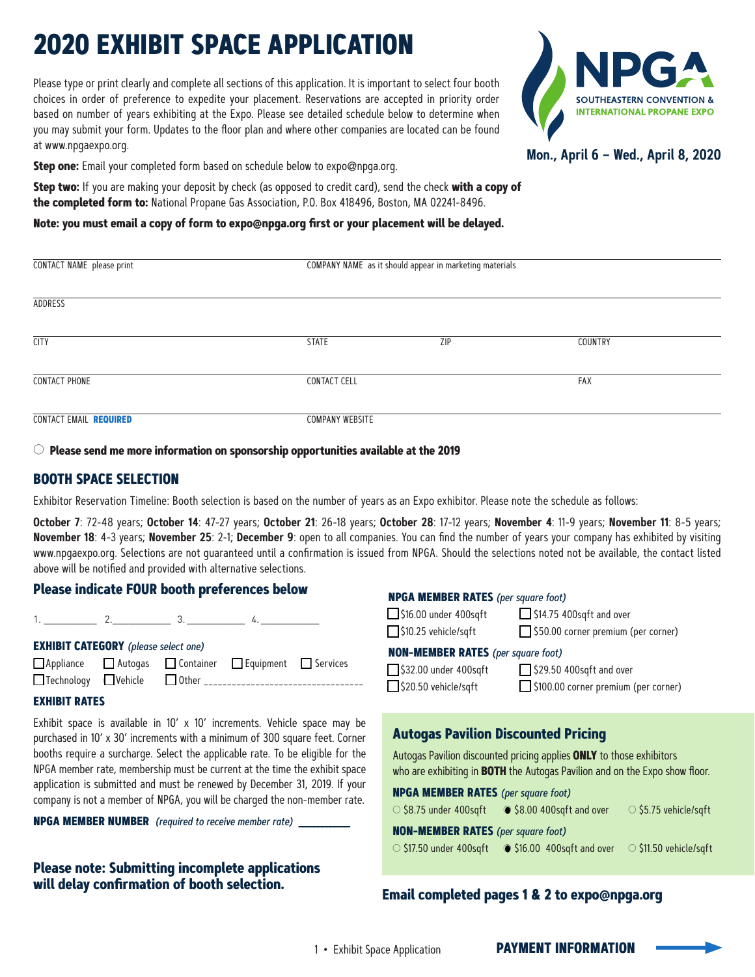# **2020 EXHIBIT SPACE APPLICATION**

Please type or print clearly and complete all sections of this application. It is important to select four booth choices in order of preference to expedite your placement. Reservations are accepted in priority order based on number of years exhibiting at the Expo. Please see detailed schedule below to determine when you may submit your form. Updates to the floor plan and where other companies are located can be found at www.npgaexpo.org.



**Mon., April 6 – Wed., April 8, 2020**

Step one: Email your completed form based on schedule below to expo@npqa.org.

**Step two:** If you are making your deposit by check (as opposed to credit card), send the check **with a copy of the completed form to:** National Propane Gas Association, P.O. Box 418496, Boston, MA 02241-8496.

#### **Note: you must email a copy of form to expo@npga.org first or your placement will be delayed.**

| CONTACT NAME please print | COMPANY NAME as it should appear in marketing materials |     |         |  |
|---------------------------|---------------------------------------------------------|-----|---------|--|
| ADDRESS                   |                                                         |     |         |  |
| <b>CITY</b>               | <b>STATE</b>                                            | ZIP | COUNTRY |  |
| <b>CONTACT PHONE</b>      | <b>CONTACT CELL</b>                                     |     |         |  |
| CONTACT EMAIL REQUIRED    | <b>COMPANY WEBSITE</b>                                  |     |         |  |

○ **Please send me more information on sponsorship opportunities available at the 2019** 

# **BOOTH SPACE SELECTION**

**will delay confirmation of booth selection.**

Exhibitor Reservation Timeline: Booth selection is based on the number of years as an Expo exhibitor. Please note the schedule as follows:

**October 7**: 72-48 years; **October 14**: 47-27 years; **October 21**: 26-18 years; **October 28**: 17-12 years; **November 4**: 11-9 years; **November 11**: 8-5 years; **November 18**: 4-3 years; **November 25**: 2-1; **December 9**: open to all companies. You can find the number of years your company has exhibited by visiting www.npgaexpo.org. Selections are not guaranteed until a confirmation is issued from NPGA. Should the selections noted not be available, the contact listed above will be notified and provided with alternative selections.

#### **Autogas Pavilion Discounted Pricing** Autogas Pavilion discounted pricing applies **ONLY** to those exhibitors who are exhibiting in **BOTH** the Autogas Pavilion and on the Expo show floor. **NPGA MEMBER RATES** (per square foot)  $\circ$  \$8.75 under 400sqft  $\bullet$  \$8.00 400sqft and over  $\circ$  \$5.75 vehicle/sqft **NON-MEMBER RATES** (per square foot) ○ \$17.50 under 400sqft ○ \$16.00 400sqft and over ○ \$11.50 vehicle/sqft **Please indicate FOUR booth preferences below**  $1.2.2.3.2.4.$ **EXHIBIT CATEGORY** (please select one) □ Appliance □ Autogas □ Container □ Equipment □ Services<br>□ Technology □ Vehicle □ Other ○ Technology ○ Vehicle ○ Other \_\_\_\_\_\_\_\_\_\_\_\_\_\_\_\_\_\_\_\_\_\_\_\_\_\_\_\_\_\_\_\_\_\_ **EXHIBIT RATES**  Exhibit space is available in 10' x 10' increments. Vehicle space may be purchased in 10' x 30' increments with a minimum of 300 square feet. Corner booths require a surcharge. Select the applicable rate. To be eligible for the NPGA member rate, membership must be current at the time the exhibit space application is submitted and must be renewed by December 31, 2019. If your company is not a member of NPGA, you will be charged the non-member rate. **NPGA MEMBER NUMBER** (required to receive member rate) **\_\_\_\_\_\_\_\_\_\_\_\_\_ Please note: Submitting incomplete applications NPGA MEMBER RATES** (per square foot) □ \$16.00 under 400sqft □ \$14.75 400sqft and over<br>□ \$10.25 vehicle/sqft \$50.00 corner premium □ \$50.00 corner premium (per corner) **NON-MEMBER RATES** (per square foot)  $\Box$ \$32.00 under 400sqft  $\Box$ \$29.50 400sqft and over<br> $\Box$ \$20.50 vehicle/sqft  $\Box$ \$100.00 corner premium □ \$100.00 corner premium (per corner)

# **Email completed pages 1 & 2 to expo@npga.org**

**PAYMENT INFORMATION**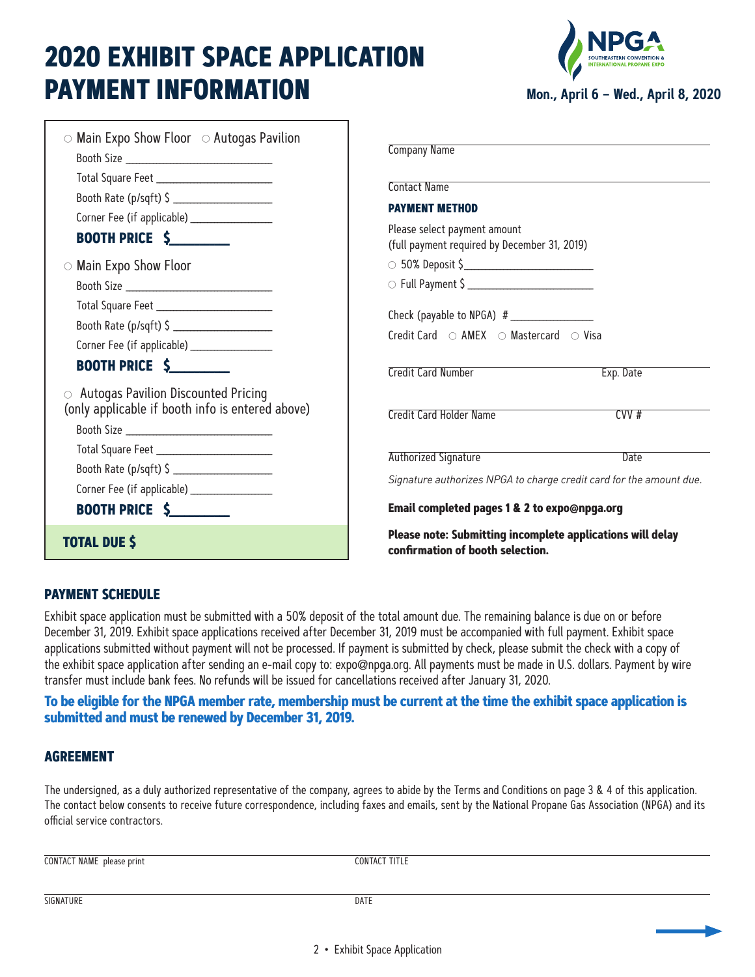# **2020 EXHIBIT SPACE APPLICATION PAYMENT INFORMATION**



| $\circ$ Main Expo Show Floor $\circ$ Autogas Pavilion<br>Booth Rate (p/sqft) \$                               | <b>Company Name</b><br><b>Contact Name</b><br><b>PAYMENT METHOD</b>                            |  |  |
|---------------------------------------------------------------------------------------------------------------|------------------------------------------------------------------------------------------------|--|--|
| <b>BOOTH PRICE \$</b>                                                                                         | Please select payment amount<br>(full payment required by December 31, 2019)                   |  |  |
| $\circ$ Main Expo Show Floor                                                                                  | $\circ$ 50% Deposit \$<br>O Full Payment \$<br>Credit Card  ○ AMEX  ○ Mastercard  ○ Visa       |  |  |
| Booth Rate (p/sqft) \$                                                                                        |                                                                                                |  |  |
| <b>BOOTH PRICE \$</b>                                                                                         | <b>Credit Card Number</b><br>Exp. Date                                                         |  |  |
| $\circ$ Autogas Pavilion Discounted Pricing<br>(only applicable if booth info is entered above)<br>Booth Size | CVV#<br>Credit Card Holder Name                                                                |  |  |
| Booth Rate (p/sqft) \$                                                                                        | Authorized Signature<br>Date                                                                   |  |  |
|                                                                                                               | Signature authorizes NPGA to charge credit card for the amount due.                            |  |  |
| <b>BOOTH PRICE \$</b>                                                                                         | Email completed pages 1 & 2 to expo@npga.org                                                   |  |  |
| <b>TOTAL DUE \$</b>                                                                                           | Please note: Submitting incomplete applications will delay<br>confirmation of booth selection. |  |  |

# **PAYMENT SCHEDULE**

Exhibit space application must be submitted with a 50% deposit of the total amount due. The remaining balance is due on or before December 31, 2019. Exhibit space applications received after December 31, 2019 must be accompanied with full payment. Exhibit space applications submitted without payment will not be processed. If payment is submitted by check, please submit the check with a copy of the exhibit space application after sending an e-mail copy to: expo@npga.org. All payments must be made in U.S. dollars. Payment by wire transfer must include bank fees. No refunds will be issued for cancellations received after January 31, 2020.

# **To be eligible for the NPGA member rate, membership must be current at the time the exhibit space application is submitted and must be renewed by December 31, 2019.**

# **AGREEMENT**

The undersigned, as a duly authorized representative of the company, agrees to abide by the Terms and Conditions on page 3 & 4 of this application. The contact below consents to receive future correspondence, including faxes and emails, sent by the National Propane Gas Association (NPGA) and its official service contractors.

CONTACT NAME please print CONTACT TITLE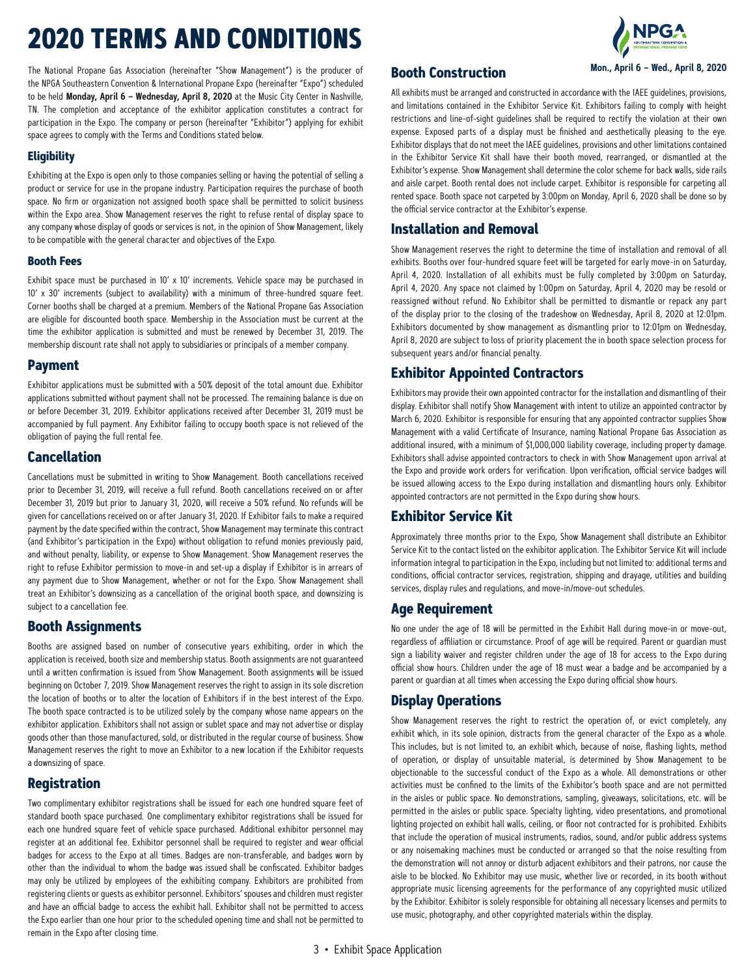# **2020 TERMS AND CONDITIONS**

The National Propane Gas Association (hereinafter "Show Management") is the producer of the NPGA Southeastern Convention & International Propane Expo (hereinafter "Expo") scheduled to be held **Monday, April 6 – Wednesday, April 8, 2020** at the Music City Center in Nashville, TN. The completion and acceptance of the exhibitor application constitutes a contract for participation in the Expo. The company or person (hereinafter "Exhibitor") applying for exhibit space agrees to comply with the Terms and Conditions stated below.

#### **Eligibility**

Exhibiting at the Expo is open only to those companies selling or having the potential of selling a product or service for use in the propane industry. Participation requires the purchase of booth space. No firm or organization not assigned booth space shall be permitted to solicit business within the Expo area. Show Management reserves the right to refuse rental of display space to any company whose display of goods or services is not, in the opinion of Show Management, likely to be compatible with the general character and objectives of the Expo.

### **Booth Fees**

Exhibit space must be purchased in 10' x 10' increments. Vehicle space may be purchased in 10' x 30' increments (subject to availability) with a minimum of three-hundred square feet. Corner booths shall be charged at a premium. Members of the National Propane Gas Association are eligible for discounted booth space. Membership in the Association must be current at the time the exhibitor application is submitted and must be renewed by December 31, 2019. The membership discount rate shall not apply to subsidiaries or principals of a member company.

### **Payment**

Exhibitor applications must be submitted with a 50% deposit of the total amount due. Exhibitor applications submitted without payment shall not be processed. The remaining balance is due on or before December 31, 2019. Exhibitor applications received after December 31, 2019 must be accompanied by full payment. Any Exhibitor failing to occupy booth space is not relieved of the obligation of paying the full rental fee.

# **Cancellation**

Cancellations must be submitted in writing to Show Management. Booth cancellations received prior to December 31, 2019, will receive a full refund. Booth cancellations received on or after December 31, 2019 but prior to January 31, 2020, will receive a 50% refund. No refunds will be given for cancellations received on or after January 31, 2020. If Exhibitor fails to make a required payment by the date specified within the contract, Show Management may terminate this contract (and Exhibitor's participation in the Expo) without obligation to refund monies previously paid, and without penalty, liability, or expense to Show Management. Show Management reserves the right to refuse Exhibitor permission to move-in and set-up a display if Exhibitor is in arrears of any payment due to Show Management, whether or not for the Expo. Show Management shall treat an Exhibitor's downsizing as a cancellation of the original booth space, and downsizing is subject to a cancellation fee.

# **Booth Assignments**

Booths are assigned based on number of consecutive years exhibiting, order in which the application is received, booth size and membership status. Booth assignments are not guaranteed until a written confirmation is issued from Show Management. Booth assignments will be issued beginning on October 7, 2019. Show Management reserves the right to assign in its sole discretion the location of booths or to alter the location of Exhibitors if in the best interest of the Expo. The booth space contracted is to be utilized solely by the company whose name appears on the exhibitor application. Exhibitors shall not assign or sublet space and may not advertise or display goods other than those manufactured, sold, or distributed in the regular course of business. Show Management reserves the right to move an Exhibitor to a new location if the Exhibitor requests a downsizing of space.

# **Registration**

Two complimentary exhibitor registrations shall be issued for each one hundred square feet of standard booth space purchased. One complimentary exhibitor registrations shall be issued for each one hundred square feet of vehicle space purchased. Additional exhibitor personnel may register at an additional fee. Exhibitor personnel shall be required to register and wear official badges for access to the Expo at all times. Badges are non-transferable, and badges worn by other than the individual to whom the badge was issued shall be confiscated. Exhibitor badges may only be utilized by employees of the exhibiting company. Exhibitors are prohibited from registering clients or guests as exhibitor personnel. Exhibitors' spouses and children must register and have an official badge to access the exhibit hall. Exhibitor shall not be permitted to access the Expo earlier than one hour prior to the scheduled opening time and shall not be permitted to remain in the Expo after closing time.

### **Booth Construction**

**Mon., April 6 – Wed., April 8, 2020**

All exhibits must be arranged and constructed in accordance with the IAEE guidelines, provisions, and limitations contained in the Exhibitor Service Kit. Exhibitors failing to comply with height restrictions and line-of-sight guidelines shall be required to rectify the violation at their own expense. Exposed parts of a display must be finished and aesthetically pleasing to the eye. Exhibitor displays that do not meet the IAEE guidelines, provisions and other limitations contained in the Exhibitor Service Kit shall have their booth moved, rearranged, or dismantled at the Exhibitor's expense. Show Management shall determine the color scheme for back walls, side rails and aisle carpet. Booth rental does not include carpet. Exhibitor is responsible for carpeting all rented space. Booth space not carpeted by 3:00pm on Monday, April 6, 2020 shall be done so by the official service contractor at the Exhibitor's expense.

# **Installation and Removal**

Show Management reserves the right to determine the time of installation and removal of all exhibits. Booths over four-hundred square feet will be targeted for early move-in on Saturday, April 4, 2020. Installation of all exhibits must be fully completed by 3:00pm on Saturday, April 4, 2020. Any space not claimed by 1:00pm on Saturday, April 4, 2020 may be resold or reassigned without refund. No Exhibitor shall be permitted to dismantle or repack any part of the display prior to the closing of the tradeshow on Wednesday, April 8, 2020 at 12:01pm. Exhibitors documented by show management as dismantling prior to 12:01pm on Wednesday, April 8, 2020 are subject to loss of priority placement the in booth space selection process for subsequent years and/or financial penalty.

# **Exhibitor Appointed Contractors**

Exhibitors may provide their own appointed contractor for the installation and dismantling of their display. Exhibitor shall notify Show Management with intent to utilize an appointed contractor by March 6, 2020. Exhibitor is responsible for ensuring that any appointed contractor supplies Show Management with a valid Certificate of Insurance, naming National Propane Gas Association as additional insured, with a minimum of \$1,000,000 liability coverage, including property damage. Exhibitors shall advise appointed contractors to check in with Show Management upon arrival at the Expo and provide work orders for verification. Upon verification, official service badges will be issued allowing access to the Expo during installation and dismantling hours only. Exhibitor appointed contractors are not permitted in the Expo during show hours.

# **Exhibitor Service Kit**

Approximately three months prior to the Expo, Show Management shall distribute an Exhibitor Service Kit to the contact listed on the exhibitor application. The Exhibitor Service Kit will include information integral to participation in the Expo, including but not limited to: additional terms and conditions, official contractor services, registration, shipping and drayage, utilities and building services, display rules and regulations, and move-in/move-out schedules.

# **Age Requirement**

No one under the age of 18 will be permitted in the Exhibit Hall during move-in or move-out, regardless of affiliation or circumstance. Proof of age will be required. Parent or guardian must sign a liability waiver and register children under the age of 18 for access to the Expo during official show hours. Children under the age of 18 must wear a badge and be accompanied by a parent or guardian at all times when accessing the Expo during official show hours.

# **Display Operations**

Show Management reserves the right to restrict the operation of, or evict completely, any exhibit which, in its sole opinion, distracts from the general character of the Expo as a whole. This includes, but is not limited to, an exhibit which, because of noise, flashing lights, method of operation, or display of unsuitable material, is determined by Show Management to be objectionable to the successful conduct of the Expo as a whole. All demonstrations or other activities must be confined to the limits of the Exhibitor's booth space and are not permitted in the aisles or public space. No demonstrations, sampling, giveaways, solicitations, etc. will be permitted in the aisles or public space. Specialty lighting, video presentations, and promotional lighting projected on exhibit hall walls, ceiling, or floor not contracted for is prohibited. Exhibits that include the operation of musical instruments, radios, sound, and/or public address systems or any noisemaking machines must be conducted or arranged so that the noise resulting from the demonstration will not annoy or disturb adjacent exhibitors and their patrons, nor cause the aisle to be blocked. No Exhibitor may use music, whether live or recorded, in its booth without appropriate music licensing agreements for the performance of any copyrighted music utilized by the Exhibitor. Exhibitor is solely responsible for obtaining all necessary licenses and permits to use music, photography, and other copyrighted materials within the display.